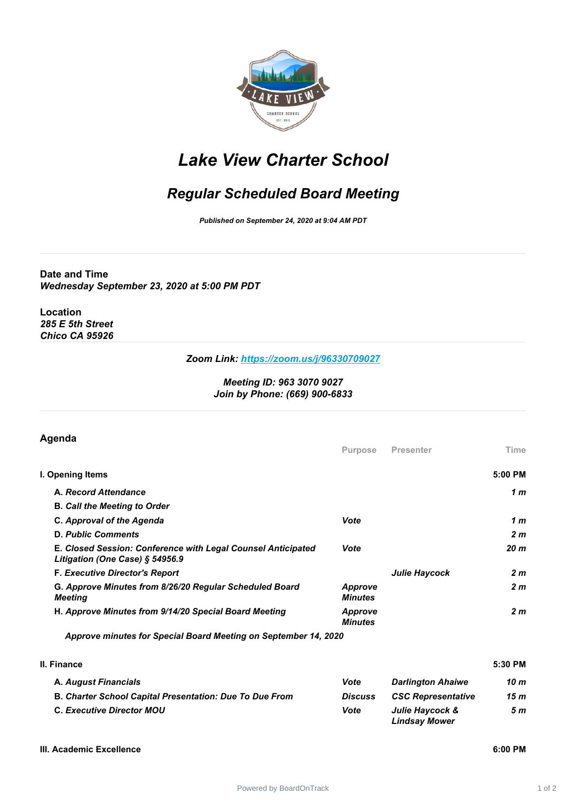

## *Lake View Charter School*

## *Regular Scheduled Board Meeting*

*Published on September 24, 2020 at 9:04 AM PDT*

**Date and Time** *Wednesday September 23, 2020 at 5:00 PM PDT*

**Location** *285 E 5th Street Chico CA 95926*

*Zoom Link: <https://zoom.us/j/96330709027>*

## *Meeting ID: 963 3070 9027 Join by Phone: (669) 900-6833*

| <b>Purpose</b>                   | <b>Presenter</b> | Time           |
|----------------------------------|------------------|----------------|
|                                  |                  | $5:00$ PM      |
|                                  |                  | 1 m            |
|                                  |                  |                |
| Vote                             |                  | 1 m            |
|                                  |                  | 2 <sub>m</sub> |
| Vote                             |                  | 20 m           |
|                                  | Julie Haycock    | 2 <sub>m</sub> |
| <b>Approve</b><br><b>Minutes</b> |                  | 2 <sub>m</sub> |
| <b>Approve</b><br><b>Minutes</b> |                  | 2 <sub>m</sub> |
|                                  |                  |                |

*Approve minutes for Special Board Meeting on September 14, 2020*

| II. Finance                                                    |                |                                         | 5:30 PM |
|----------------------------------------------------------------|----------------|-----------------------------------------|---------|
| A. August Financials                                           | Vote           | <b>Darlington Ahaiwe</b>                | 10 m    |
| <b>B. Charter School Capital Presentation: Due To Due From</b> | <b>Discuss</b> | <b>CSC Representative</b>               | 15 m    |
| <b>C. Executive Director MOU</b>                               | Vote           | Julie Haycock &<br><b>Lindsay Mower</b> | 5 m     |

**III. Academic Excellence 6:00 PM**